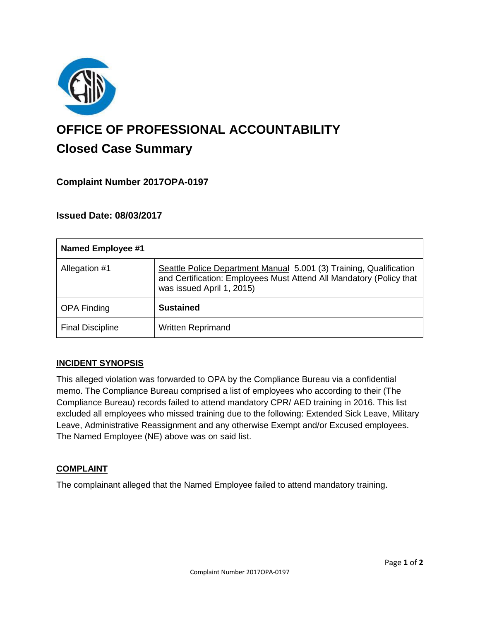

# **OFFICE OF PROFESSIONAL ACCOUNTABILITY Closed Case Summary**

## **Complaint Number 2017OPA-0197**

### **Issued Date: 08/03/2017**

| <b>Named Employee #1</b> |                                                                                                                                                                        |
|--------------------------|------------------------------------------------------------------------------------------------------------------------------------------------------------------------|
| Allegation #1            | Seattle Police Department Manual 5.001 (3) Training, Qualification<br>and Certification: Employees Must Attend All Mandatory (Policy that<br>was issued April 1, 2015) |
| <b>OPA Finding</b>       | <b>Sustained</b>                                                                                                                                                       |
| <b>Final Discipline</b>  | <b>Written Reprimand</b>                                                                                                                                               |

#### **INCIDENT SYNOPSIS**

This alleged violation was forwarded to OPA by the Compliance Bureau via a confidential memo. The Compliance Bureau comprised a list of employees who according to their (The Compliance Bureau) records failed to attend mandatory CPR/ AED training in 2016. This list excluded all employees who missed training due to the following: Extended Sick Leave, Military Leave, Administrative Reassignment and any otherwise Exempt and/or Excused employees. The Named Employee (NE) above was on said list.

#### **COMPLAINT**

The complainant alleged that the Named Employee failed to attend mandatory training.